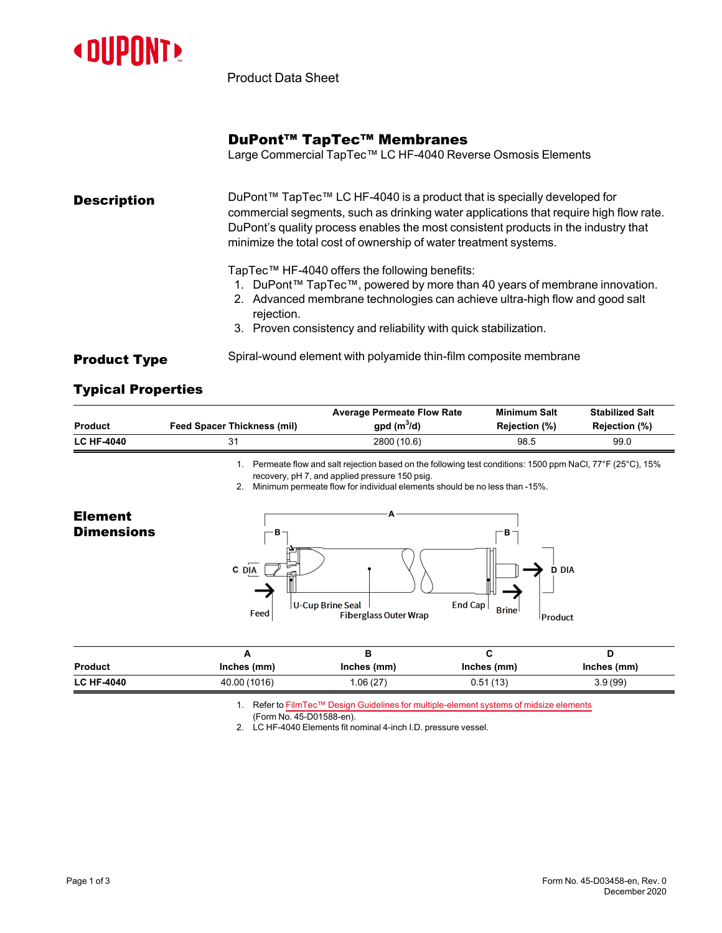

Product Data Sheet

## DuPont™ TapTec™ Membranes

Large Commercial TapTec™ LC HF-4040 Reverse Osmosis Elements

**Description** DuPont™ TapTec™ LC HF-4040 is a product that is specially developed for commercial segments, such as drinking water applications that require high flow rate. DuPont's quality process enables the most consistent products in the industry that minimize the total cost of ownership of water treatment systems. TapTec™ HF-4040 offers the following benefits:

- 1. DuPont™ TapTec™, powered by more than 40 years of membrane innovation.
- 2. Advanced membrane technologies can achieve ultra-high flow and good salt rejection.
- 3. Proven consistency and reliability with quick stabilization.
- **Product Type** Spiral-wound element with polyamide thin-film composite membrane

## Typical Properties

|                   |                                    | <b>Average Permeate Flow Rate</b>                                                                                                                                          | <b>Minimum Salt</b> | <b>Stabilized Salt</b> |  |  |
|-------------------|------------------------------------|----------------------------------------------------------------------------------------------------------------------------------------------------------------------------|---------------------|------------------------|--|--|
| <b>Product</b>    | <b>Feed Spacer Thickness (mil)</b> | gpd $(m^3/d)$                                                                                                                                                              | Rejection (%)       | Rejection (%)          |  |  |
| <b>LC HF-4040</b> | 31                                 | 2800 (10.6)                                                                                                                                                                | 98.5                | 99.0                   |  |  |
|                   |                                    | Permeate flow and salt rejection based on the following test conditions: 1500 ppm NaCl, $77^{\circ}F(25^{\circ}C)$ , 15%<br>recovery, pH 7, and applied pressure 150 psig. |                     |                        |  |  |
|                   |                                    | Minimum permeate flow for individual elements should be no less than -15%.                                                                                                 |                     |                        |  |  |
| <b>Element</b>    |                                    |                                                                                                                                                                            |                     |                        |  |  |
| <b>Dimensions</b> | $-B-$                              |                                                                                                                                                                            | ∗в−                 |                        |  |  |



| <b>Product</b>    | Inches (mm)  | Inches (mm) | Inches (mm) | Inches (mm) |
|-------------------|--------------|-------------|-------------|-------------|
| <b>LC HF-4040</b> | 40.00 (1016) | .06(27)     | 0.51(13)    | 3.9(99)     |

1. Refer to FilmTec™ Design Guidelines for [multiple-element](https://www.dupont.com/content/dam/dupont/amer/us/en/water-solutions/public/documents/en/45-D01588-en.pdf) systems of midsize elements

(Form No. 45-D01588-en).

2. LC HF-4040 Elements fit nominal 4-inch I.D. pressure vessel.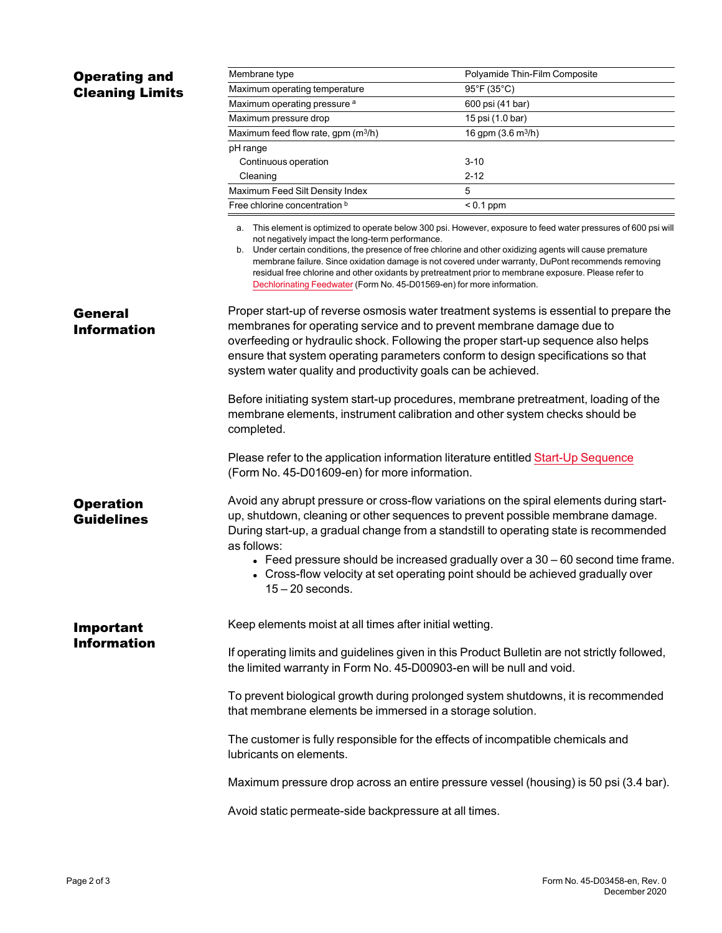| <b>Operating and</b>                  | Membrane type                                                                                                                                                                                                                                                                                                                                                                                                                                                                                                                                                               | Polyamide Thin-Film Composite                                                                                                                                             |  |  |
|---------------------------------------|-----------------------------------------------------------------------------------------------------------------------------------------------------------------------------------------------------------------------------------------------------------------------------------------------------------------------------------------------------------------------------------------------------------------------------------------------------------------------------------------------------------------------------------------------------------------------------|---------------------------------------------------------------------------------------------------------------------------------------------------------------------------|--|--|
| <b>Cleaning Limits</b>                | Maximum operating temperature                                                                                                                                                                                                                                                                                                                                                                                                                                                                                                                                               | 95°F (35°C)                                                                                                                                                               |  |  |
|                                       | Maximum operating pressure a                                                                                                                                                                                                                                                                                                                                                                                                                                                                                                                                                | 600 psi (41 bar)                                                                                                                                                          |  |  |
|                                       | Maximum pressure drop                                                                                                                                                                                                                                                                                                                                                                                                                                                                                                                                                       | 15 psi (1.0 bar)                                                                                                                                                          |  |  |
|                                       | Maximum feed flow rate, gpm (m <sup>3</sup> /h)                                                                                                                                                                                                                                                                                                                                                                                                                                                                                                                             | 16 gpm (3.6 m <sup>3</sup> /h)                                                                                                                                            |  |  |
|                                       | pH range                                                                                                                                                                                                                                                                                                                                                                                                                                                                                                                                                                    |                                                                                                                                                                           |  |  |
|                                       | Continuous operation                                                                                                                                                                                                                                                                                                                                                                                                                                                                                                                                                        | $3 - 10$                                                                                                                                                                  |  |  |
|                                       | Cleaning                                                                                                                                                                                                                                                                                                                                                                                                                                                                                                                                                                    | $2 - 12$                                                                                                                                                                  |  |  |
|                                       | Maximum Feed Silt Density Index                                                                                                                                                                                                                                                                                                                                                                                                                                                                                                                                             | 5                                                                                                                                                                         |  |  |
|                                       | Free chlorine concentration b                                                                                                                                                                                                                                                                                                                                                                                                                                                                                                                                               | $< 0.1$ ppm                                                                                                                                                               |  |  |
|                                       | a. This element is optimized to operate below 300 psi. However, exposure to feed water pressures of 600 psi will<br>not negatively impact the long-term performance.<br>b. Under certain conditions, the presence of free chlorine and other oxidizing agents will cause premature<br>membrane failure. Since oxidation damage is not covered under warranty, DuPont recommends removing<br>residual free chlorine and other oxidants by pretreatment prior to membrane exposure. Please refer to<br>Dechlorinating Feedwater (Form No. 45-D01569-en) for more information. |                                                                                                                                                                           |  |  |
| General                               |                                                                                                                                                                                                                                                                                                                                                                                                                                                                                                                                                                             | Proper start-up of reverse osmosis water treatment systems is essential to prepare the                                                                                    |  |  |
| <b>Information</b>                    | membranes for operating service and to prevent membrane damage due to                                                                                                                                                                                                                                                                                                                                                                                                                                                                                                       |                                                                                                                                                                           |  |  |
|                                       | overfeeding or hydraulic shock. Following the proper start-up sequence also helps                                                                                                                                                                                                                                                                                                                                                                                                                                                                                           |                                                                                                                                                                           |  |  |
|                                       | ensure that system operating parameters conform to design specifications so that                                                                                                                                                                                                                                                                                                                                                                                                                                                                                            |                                                                                                                                                                           |  |  |
|                                       | system water quality and productivity goals can be achieved.                                                                                                                                                                                                                                                                                                                                                                                                                                                                                                                |                                                                                                                                                                           |  |  |
|                                       | Before initiating system start-up procedures, membrane pretreatment, loading of the<br>membrane elements, instrument calibration and other system checks should be<br>completed.                                                                                                                                                                                                                                                                                                                                                                                            |                                                                                                                                                                           |  |  |
|                                       | (Form No. 45-D01609-en) for more information.                                                                                                                                                                                                                                                                                                                                                                                                                                                                                                                               | Please refer to the application information literature entitled Start-Up Sequence                                                                                         |  |  |
| <b>Operation</b><br><b>Guidelines</b> | Avoid any abrupt pressure or cross-flow variations on the spiral elements during start-<br>up, shutdown, cleaning or other sequences to prevent possible membrane damage.<br>During start-up, a gradual change from a standstill to operating state is recommended<br>as follows:                                                                                                                                                                                                                                                                                           |                                                                                                                                                                           |  |  |
|                                       | $15 - 20$ seconds.                                                                                                                                                                                                                                                                                                                                                                                                                                                                                                                                                          | $\bullet$ Feed pressure should be increased gradually over a 30 – 60 second time frame.<br>• Cross-flow velocity at set operating point should be achieved gradually over |  |  |
| <b>Important</b>                      | Keep elements moist at all times after initial wetting.                                                                                                                                                                                                                                                                                                                                                                                                                                                                                                                     |                                                                                                                                                                           |  |  |
| <b>Information</b>                    | If operating limits and guidelines given in this Product Bulletin are not strictly followed,<br>the limited warranty in Form No. 45-D00903-en will be null and void.                                                                                                                                                                                                                                                                                                                                                                                                        |                                                                                                                                                                           |  |  |
|                                       | To prevent biological growth during prolonged system shutdowns, it is recommended<br>that membrane elements be immersed in a storage solution.                                                                                                                                                                                                                                                                                                                                                                                                                              |                                                                                                                                                                           |  |  |
|                                       | The customer is fully responsible for the effects of incompatible chemicals and<br>lubricants on elements.                                                                                                                                                                                                                                                                                                                                                                                                                                                                  |                                                                                                                                                                           |  |  |
|                                       | Maximum pressure drop across an entire pressure vessel (housing) is 50 psi (3.4 bar).                                                                                                                                                                                                                                                                                                                                                                                                                                                                                       |                                                                                                                                                                           |  |  |
|                                       | Avoid static permeate-side backpressure at all times.                                                                                                                                                                                                                                                                                                                                                                                                                                                                                                                       |                                                                                                                                                                           |  |  |